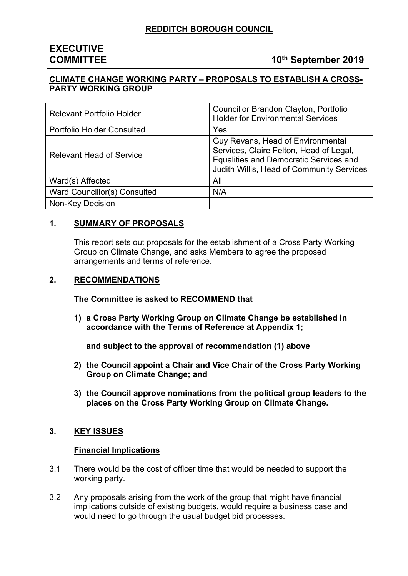# **EXECUTIVE**

### **COMMITTEE 10<sup>th</sup> September 2019**

#### **CLIMATE CHANGE WORKING PARTY – PROPOSALS TO ESTABLISH A CROSS-PARTY WORKING GROUP**

| <b>Relevant Portfolio Holder</b>  | Councillor Brandon Clayton, Portfolio<br><b>Holder for Environmental Services</b>                                                                                   |
|-----------------------------------|---------------------------------------------------------------------------------------------------------------------------------------------------------------------|
| <b>Portfolio Holder Consulted</b> | Yes                                                                                                                                                                 |
| <b>Relevant Head of Service</b>   | Guy Revans, Head of Environmental<br>Services, Claire Felton, Head of Legal,<br>Equalities and Democratic Services and<br>Judith Willis, Head of Community Services |
| Ward(s) Affected                  | All                                                                                                                                                                 |
| Ward Councillor(s) Consulted      | N/A                                                                                                                                                                 |
| Non-Key Decision                  |                                                                                                                                                                     |

#### **1. SUMMARY OF PROPOSALS**

This report sets out proposals for the establishment of a Cross Party Working Group on Climate Change, and asks Members to agree the proposed arrangements and terms of reference.

#### **2. RECOMMENDATIONS**

**The Committee is asked to RECOMMEND that**

**1) a Cross Party Working Group on Climate Change be established in accordance with the Terms of Reference at Appendix 1;**

**and subject to the approval of recommendation (1) above**

- **2) the Council appoint a Chair and Vice Chair of the Cross Party Working Group on Climate Change; and**
- **3) the Council approve nominations from the political group leaders to the places on the Cross Party Working Group on Climate Change.**

#### **3. KEY ISSUES**

#### **Financial Implications**

- 3.1 There would be the cost of officer time that would be needed to support the working party.
- 3.2 Any proposals arising from the work of the group that might have financial implications outside of existing budgets, would require a business case and would need to go through the usual budget bid processes.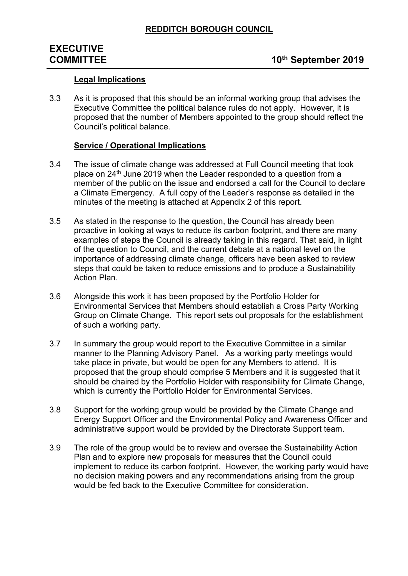# **EXECUTIVE**

## **COMMITTEE 10<sup>th</sup> September 2019**

#### **Legal Implications**

3.3 As it is proposed that this should be an informal working group that advises the Executive Committee the political balance rules do not apply. However, it is proposed that the number of Members appointed to the group should reflect the Council's political balance.

#### **Service / Operational Implications**

- 3.4 The issue of climate change was addressed at Full Council meeting that took place on 24th June 2019 when the Leader responded to a question from a member of the public on the issue and endorsed a call for the Council to declare a Climate Emergency. A full copy of the Leader's response as detailed in the minutes of the meeting is attached at Appendix 2 of this report.
- 3.5 As stated in the response to the question, the Council has already been proactive in looking at ways to reduce its carbon footprint, and there are many examples of steps the Council is already taking in this regard. That said, in light of the question to Council, and the current debate at a national level on the importance of addressing climate change, officers have been asked to review steps that could be taken to reduce emissions and to produce a Sustainability Action Plan.
- 3.6 Alongside this work it has been proposed by the Portfolio Holder for Environmental Services that Members should establish a Cross Party Working Group on Climate Change. This report sets out proposals for the establishment of such a working party.
- 3.7 In summary the group would report to the Executive Committee in a similar manner to the Planning Advisory Panel. As a working party meetings would take place in private, but would be open for any Members to attend. It is proposed that the group should comprise 5 Members and it is suggested that it should be chaired by the Portfolio Holder with responsibility for Climate Change, which is currently the Portfolio Holder for Environmental Services.
- 3.8 Support for the working group would be provided by the Climate Change and Energy Support Officer and the Environmental Policy and Awareness Officer and administrative support would be provided by the Directorate Support team.
- 3.9 The role of the group would be to review and oversee the Sustainability Action Plan and to explore new proposals for measures that the Council could implement to reduce its carbon footprint. However, the working party would have no decision making powers and any recommendations arising from the group would be fed back to the Executive Committee for consideration.